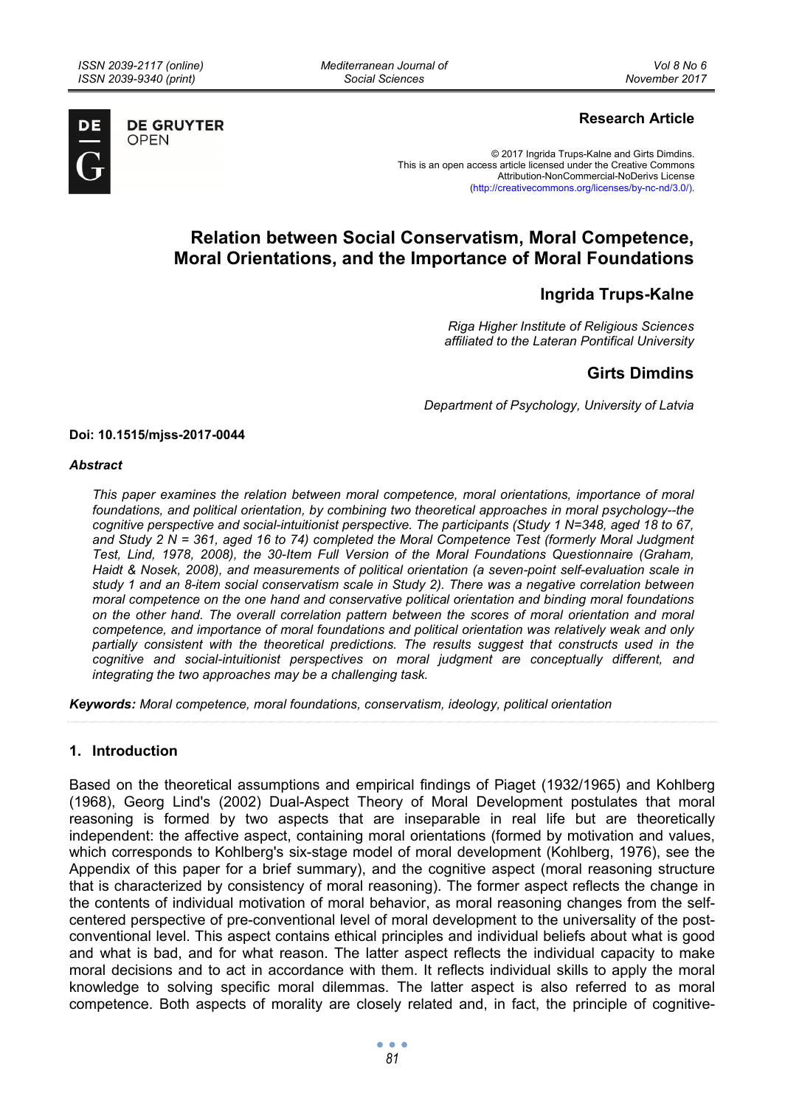**OPEN** 

*Mediterranean Journal of Social Sciences* 



**DE GRUYTER** 

# **Research Article**

© 2017 Ingrida Trups-Kalne and Girts Dimdins. This is an open access article licensed under the Creative Commons Attribution-NonCommercial-NoDerivs License (http://creativecommons.org/licenses/by-nc-nd/3.0/).

# **Relation between Social Conservatism, Moral Competence, Moral Orientations, and the Importance of Moral Foundations**

# **Ingrida Trups-Kalne**

*Riga Higher Institute of Religious Sciences affiliated to the Lateran Pontifical University* 

# **Girts Dimdins**

*Department of Psychology, University of Latvia* 

#### **Doi: 10.1515/mjss-2017-0044**

#### *Abstract*

*This paper examines the relation between moral competence, moral orientations, importance of moral foundations, and political orientation, by combining two theoretical approaches in moral psychology--the cognitive perspective and social-intuitionist perspective. The participants (Study 1 N=348, aged 18 to 67, and Study 2 N = 361, aged 16 to 74) completed the Moral Competence Test (formerly Moral Judgment Test, Lind, 1978, 2008), the 30-Item Full Version of the Moral Foundations Questionnaire (Graham, Haidt & Nosek, 2008), and measurements of political orientation (a seven-point self-evaluation scale in study 1 and an 8-item social conservatism scale in Study 2). There was a negative correlation between moral competence on the one hand and conservative political orientation and binding moral foundations on the other hand. The overall correlation pattern between the scores of moral orientation and moral competence, and importance of moral foundations and political orientation was relatively weak and only partially consistent with the theoretical predictions. The results suggest that constructs used in the cognitive and social-intuitionist perspectives on moral judgment are conceptually different, and integrating the two approaches may be a challenging task.* 

*Keywords: Moral competence, moral foundations, conservatism, ideology, political orientation* 

# **1. Introduction**

Based on the theoretical assumptions and empirical findings of Piaget (1932/1965) and Kohlberg (1968), Georg Lind's (2002) Dual-Aspect Theory of Moral Development postulates that moral reasoning is formed by two aspects that are inseparable in real life but are theoretically independent: the affective aspect, containing moral orientations (formed by motivation and values, which corresponds to Kohlberg's six-stage model of moral development (Kohlberg, 1976), see the Appendix of this paper for a brief summary), and the cognitive aspect (moral reasoning structure that is characterized by consistency of moral reasoning). The former aspect reflects the change in the contents of individual motivation of moral behavior, as moral reasoning changes from the selfcentered perspective of pre-conventional level of moral development to the universality of the postconventional level. This aspect contains ethical principles and individual beliefs about what is good and what is bad, and for what reason. The latter aspect reflects the individual capacity to make moral decisions and to act in accordance with them. It reflects individual skills to apply the moral knowledge to solving specific moral dilemmas. The latter aspect is also referred to as moral competence. Both aspects of morality are closely related and, in fact, the principle of cognitive-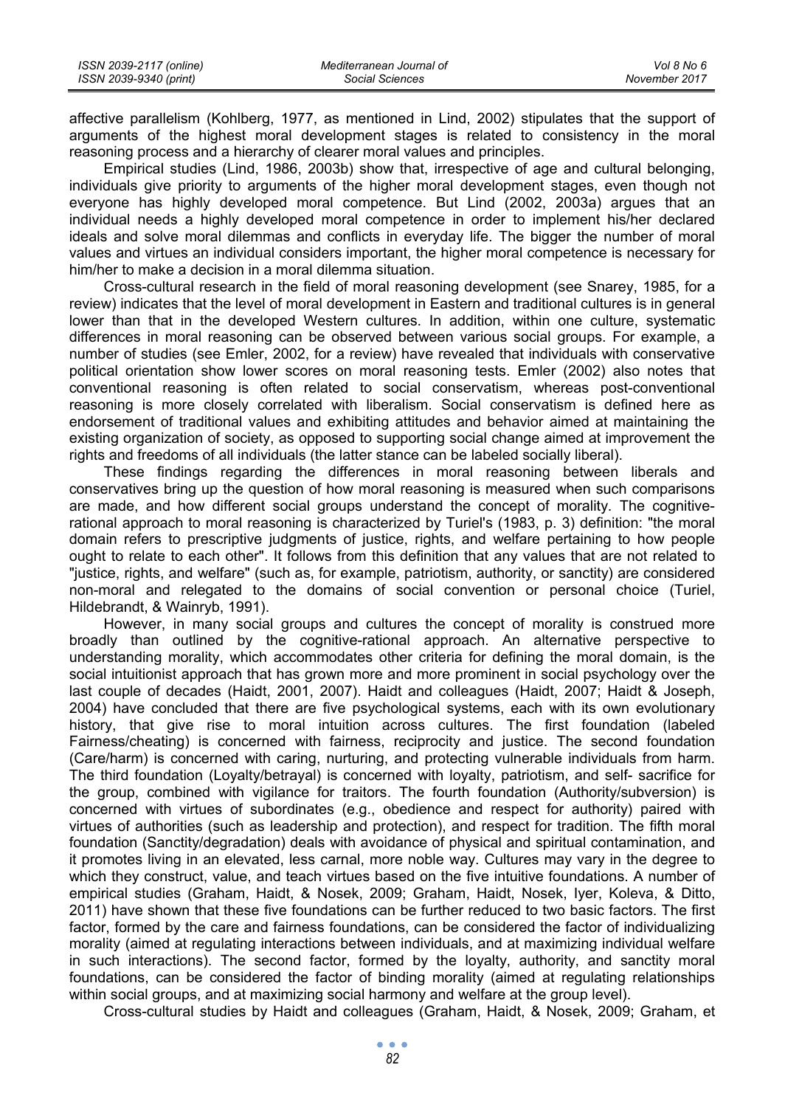| ISSN 2039-2117 (online) | Mediterranean Journal of | Vol 8 No 6    |
|-------------------------|--------------------------|---------------|
| ISSN 2039-9340 (print)  | Social Sciences          | November 2017 |

affective parallelism (Kohlberg, 1977, as mentioned in Lind, 2002) stipulates that the support of arguments of the highest moral development stages is related to consistency in the moral reasoning process and a hierarchy of clearer moral values and principles.

Empirical studies (Lind, 1986, 2003b) show that, irrespective of age and cultural belonging, individuals give priority to arguments of the higher moral development stages, even though not everyone has highly developed moral competence. But Lind (2002, 2003a) argues that an individual needs a highly developed moral competence in order to implement his/her declared ideals and solve moral dilemmas and conflicts in everyday life. The bigger the number of moral values and virtues an individual considers important, the higher moral competence is necessary for him/her to make a decision in a moral dilemma situation.

Cross-cultural research in the field of moral reasoning development (see Snarey, 1985, for a review) indicates that the level of moral development in Eastern and traditional cultures is in general lower than that in the developed Western cultures. In addition, within one culture, systematic differences in moral reasoning can be observed between various social groups. For example, a number of studies (see Emler, 2002, for a review) have revealed that individuals with conservative political orientation show lower scores on moral reasoning tests. Emler (2002) also notes that conventional reasoning is often related to social conservatism, whereas post-conventional reasoning is more closely correlated with liberalism. Social conservatism is defined here as endorsement of traditional values and exhibiting attitudes and behavior aimed at maintaining the existing organization of society, as opposed to supporting social change aimed at improvement the rights and freedoms of all individuals (the latter stance can be labeled socially liberal).

These findings regarding the differences in moral reasoning between liberals and conservatives bring up the question of how moral reasoning is measured when such comparisons are made, and how different social groups understand the concept of morality. The cognitiverational approach to moral reasoning is characterized by Turiel's (1983, p. 3) definition: "the moral domain refers to prescriptive judgments of justice, rights, and welfare pertaining to how people ought to relate to each other". It follows from this definition that any values that are not related to "justice, rights, and welfare" (such as, for example, patriotism, authority, or sanctity) are considered non-moral and relegated to the domains of social convention or personal choice (Turiel, Hildebrandt, & Wainryb, 1991).

However, in many social groups and cultures the concept of morality is construed more broadly than outlined by the cognitive-rational approach. An alternative perspective to understanding morality, which accommodates other criteria for defining the moral domain, is the social intuitionist approach that has grown more and more prominent in social psychology over the last couple of decades (Haidt, 2001, 2007). Haidt and colleagues (Haidt, 2007; Haidt & Joseph, 2004) have concluded that there are five psychological systems, each with its own evolutionary history, that give rise to moral intuition across cultures. The first foundation (labeled Fairness/cheating) is concerned with fairness, reciprocity and justice. The second foundation (Care/harm) is concerned with caring, nurturing, and protecting vulnerable individuals from harm. The third foundation (Loyalty/betrayal) is concerned with loyalty, patriotism, and self- sacrifice for the group, combined with vigilance for traitors. The fourth foundation (Authority/subversion) is concerned with virtues of subordinates (e.g., obedience and respect for authority) paired with virtues of authorities (such as leadership and protection), and respect for tradition. The fifth moral foundation (Sanctity/degradation) deals with avoidance of physical and spiritual contamination, and it promotes living in an elevated, less carnal, more noble way. Cultures may vary in the degree to which they construct, value, and teach virtues based on the five intuitive foundations. A number of empirical studies (Graham, Haidt, & Nosek, 2009; Graham, Haidt, Nosek, Iyer, Koleva, & Ditto, 2011) have shown that these five foundations can be further reduced to two basic factors. The first factor, formed by the care and fairness foundations, can be considered the factor of individualizing morality (aimed at regulating interactions between individuals, and at maximizing individual welfare in such interactions). The second factor, formed by the loyalty, authority, and sanctity moral foundations, can be considered the factor of binding morality (aimed at regulating relationships within social groups, and at maximizing social harmony and welfare at the group level).

Cross-cultural studies by Haidt and colleagues (Graham, Haidt, & Nosek, 2009; Graham, et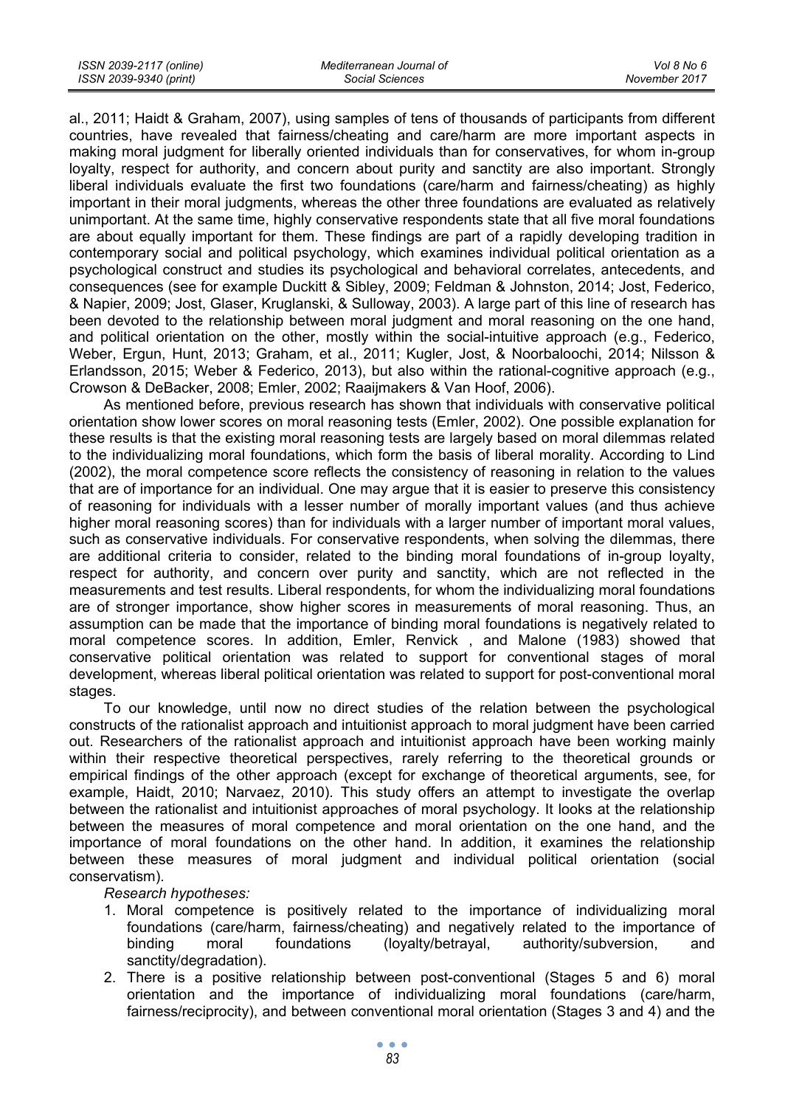al., 2011; Haidt & Graham, 2007), using samples of tens of thousands of participants from different countries, have revealed that fairness/cheating and care/harm are more important aspects in making moral judgment for liberally oriented individuals than for conservatives, for whom in-group loyalty, respect for authority, and concern about purity and sanctity are also important. Strongly liberal individuals evaluate the first two foundations (care/harm and fairness/cheating) as highly important in their moral judgments, whereas the other three foundations are evaluated as relatively unimportant. At the same time, highly conservative respondents state that all five moral foundations are about equally important for them. These findings are part of a rapidly developing tradition in contemporary social and political psychology, which examines individual political orientation as a psychological construct and studies its psychological and behavioral correlates, antecedents, and consequences (see for example Duckitt & Sibley, 2009; Feldman & Johnston, 2014; Jost, Federico, & Napier, 2009; Jost, Glaser, Kruglanski, & Sulloway, 2003). A large part of this line of research has been devoted to the relationship between moral judgment and moral reasoning on the one hand, and political orientation on the other, mostly within the social-intuitive approach (e.g., Federico, Weber, Ergun, Hunt, 2013; Graham, et al., 2011; Kugler, Jost, & Noorbaloochi, 2014; Nilsson & Erlandsson, 2015; Weber & Federico, 2013), but also within the rational-cognitive approach (e.g., Crowson & DeBacker, 2008; Emler, 2002; Raaijmakers & Van Hoof, 2006).

As mentioned before, previous research has shown that individuals with conservative political orientation show lower scores on moral reasoning tests (Emler, 2002). One possible explanation for these results is that the existing moral reasoning tests are largely based on moral dilemmas related to the individualizing moral foundations, which form the basis of liberal morality. According to Lind (2002), the moral competence score reflects the consistency of reasoning in relation to the values that are of importance for an individual. One may argue that it is easier to preserve this consistency of reasoning for individuals with a lesser number of morally important values (and thus achieve higher moral reasoning scores) than for individuals with a larger number of important moral values, such as conservative individuals. For conservative respondents, when solving the dilemmas, there are additional criteria to consider, related to the binding moral foundations of in-group loyalty, respect for authority, and concern over purity and sanctity, which are not reflected in the measurements and test results. Liberal respondents, for whom the individualizing moral foundations are of stronger importance, show higher scores in measurements of moral reasoning. Thus, an assumption can be made that the importance of binding moral foundations is negatively related to moral competence scores. In addition, Emler, Renvick , and Malone (1983) showed that conservative political orientation was related to support for conventional stages of moral development, whereas liberal political orientation was related to support for post-conventional moral stages.

To our knowledge, until now no direct studies of the relation between the psychological constructs of the rationalist approach and intuitionist approach to moral judgment have been carried out. Researchers of the rationalist approach and intuitionist approach have been working mainly within their respective theoretical perspectives, rarely referring to the theoretical grounds or empirical findings of the other approach (except for exchange of theoretical arguments, see, for example, Haidt, 2010; Narvaez, 2010). This study offers an attempt to investigate the overlap between the rationalist and intuitionist approaches of moral psychology. It looks at the relationship between the measures of moral competence and moral orientation on the one hand, and the importance of moral foundations on the other hand. In addition, it examines the relationship between these measures of moral judgment and individual political orientation (social conservatism).

*Research hypotheses:* 

- 1. Moral competence is positively related to the importance of individualizing moral foundations (care/harm, fairness/cheating) and negatively related to the importance of binding moral foundations (loyalty/betrayal, authority/subversion, and sanctity/degradation).
- 2. There is a positive relationship between post-conventional (Stages 5 and 6) moral orientation and the importance of individualizing moral foundations (care/harm, fairness/reciprocity), and between conventional moral orientation (Stages 3 and 4) and the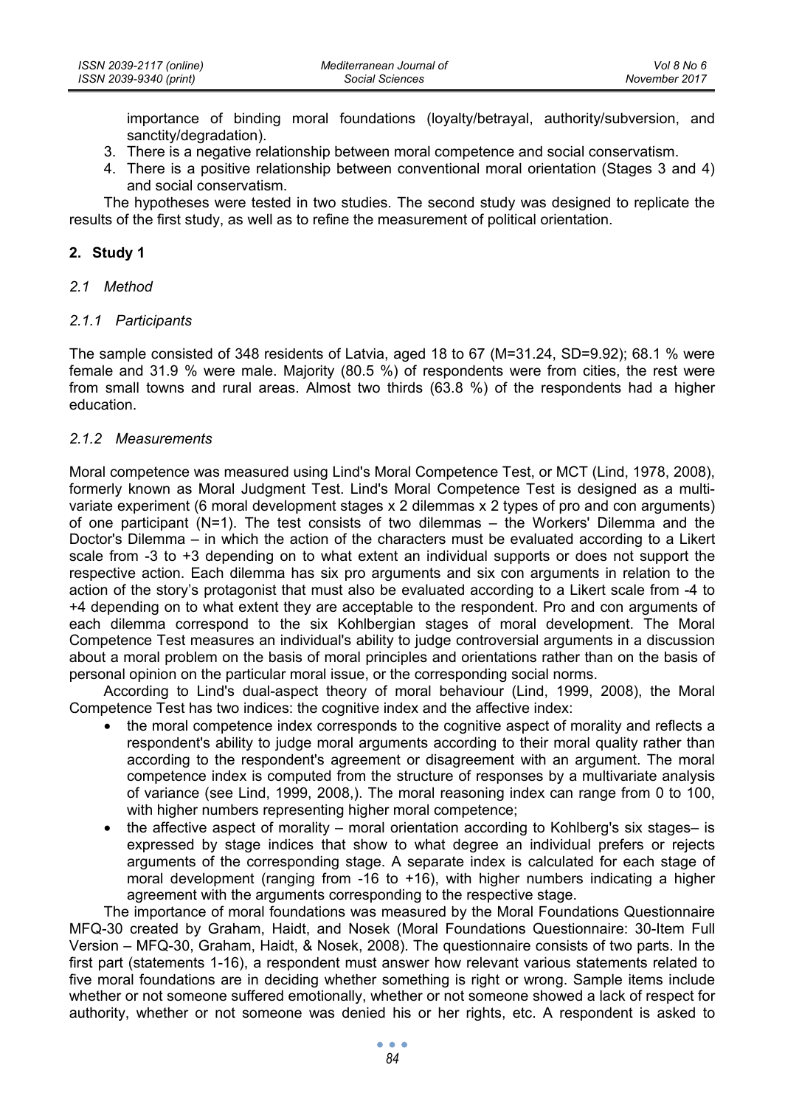importance of binding moral foundations (loyalty/betrayal, authority/subversion, and sanctity/degradation).

- 3. There is a negative relationship between moral competence and social conservatism.
- 4. There is a positive relationship between conventional moral orientation (Stages 3 and 4) and social conservatism.

The hypotheses were tested in two studies. The second study was designed to replicate the results of the first study, as well as to refine the measurement of political orientation.

# **2. Study 1**

*2.1 Method* 

# *2.1.1 Participants*

The sample consisted of 348 residents of Latvia, aged 18 to 67 (M=31.24, SD=9.92); 68.1 % were female and 31.9 % were male. Majority (80.5 %) of respondents were from cities, the rest were from small towns and rural areas. Almost two thirds (63.8 %) of the respondents had a higher education.

# *2.1.2 Measurements*

Moral competence was measured using Lind's Moral Competence Test, or MCT (Lind, 1978, 2008), formerly known as Moral Judgment Test. Lind's Moral Competence Test is designed as a multivariate experiment (6 moral development stages x 2 dilemmas x 2 types of pro and con arguments) of one participant (N=1). The test consists of two dilemmas – the Workers' Dilemma and the Doctor's Dilemma – in which the action of the characters must be evaluated according to a Likert scale from -3 to +3 depending on to what extent an individual supports or does not support the respective action. Each dilemma has six pro arguments and six con arguments in relation to the action of the story's protagonist that must also be evaluated according to a Likert scale from -4 to +4 depending on to what extent they are acceptable to the respondent. Pro and con arguments of each dilemma correspond to the six Kohlbergian stages of moral development. The Moral Competence Test measures an individual's ability to judge controversial arguments in a discussion about a moral problem on the basis of moral principles and orientations rather than on the basis of personal opinion on the particular moral issue, or the corresponding social norms.

According to Lind's dual-aspect theory of moral behaviour (Lind, 1999, 2008), the Moral Competence Test has two indices: the cognitive index and the affective index:

- the moral competence index corresponds to the cognitive aspect of morality and reflects a respondent's ability to judge moral arguments according to their moral quality rather than according to the respondent's agreement or disagreement with an argument. The moral competence index is computed from the structure of responses by a multivariate analysis of variance (see Lind, 1999, 2008,). The moral reasoning index can range from 0 to 100, with higher numbers representing higher moral competence;
- the affective aspect of morality moral orientation according to Kohlberg's six stages– is expressed by stage indices that show to what degree an individual prefers or rejects arguments of the corresponding stage. A separate index is calculated for each stage of moral development (ranging from -16 to +16), with higher numbers indicating a higher agreement with the arguments corresponding to the respective stage.

The importance of moral foundations was measured by the Moral Foundations Questionnaire MFQ-30 created by Graham, Haidt, and Nosek (Moral Foundations Questionnaire: 30-Item Full Version – MFQ-30, Graham, Haidt, & Nosek, 2008). The questionnaire consists of two parts. In the first part (statements 1-16), a respondent must answer how relevant various statements related to five moral foundations are in deciding whether something is right or wrong. Sample items include whether or not someone suffered emotionally, whether or not someone showed a lack of respect for authority, whether or not someone was denied his or her rights, etc. A respondent is asked to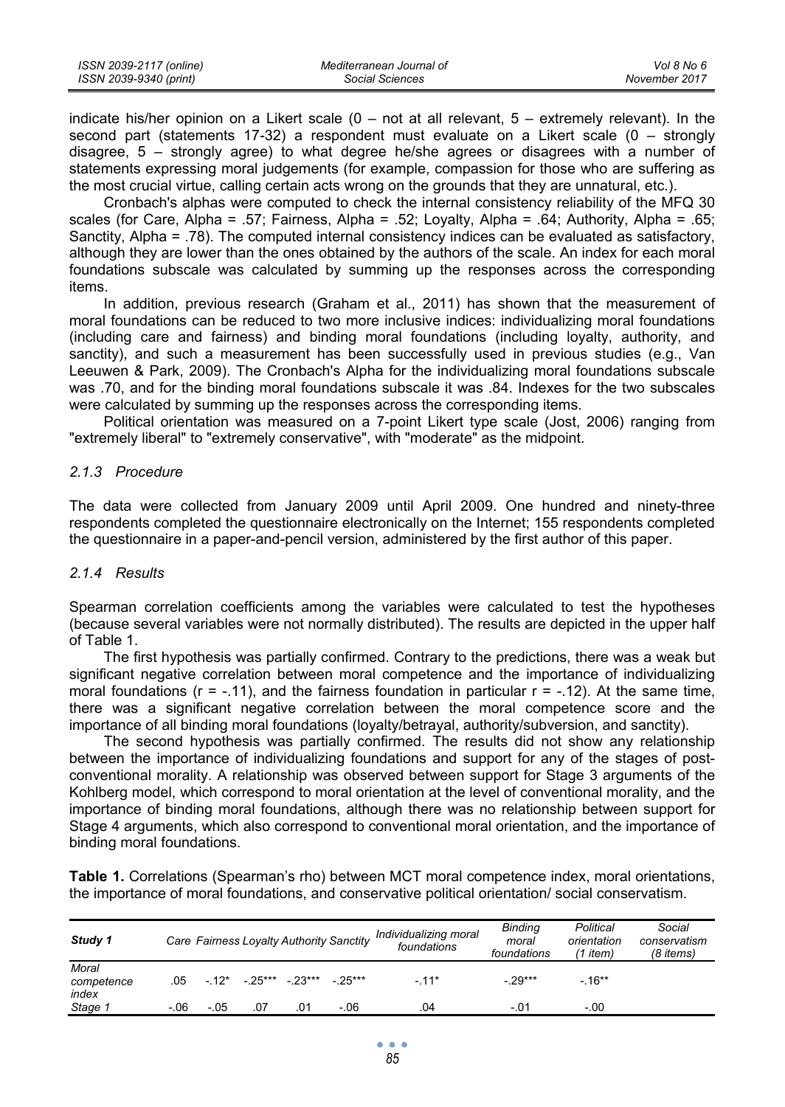| ISSN 2039-2117 (online) | Mediterranean Journal of | Vol 8 No 6    |
|-------------------------|--------------------------|---------------|
| ISSN 2039-9340 (print)  | Social Sciences          | November 2017 |

indicate his/her opinion on a Likert scale (0 – not at all relevant, 5 – extremely relevant). In the second part (statements 17-32) a respondent must evaluate on a Likert scale (0 – strongly disagree, 5 – strongly agree) to what degree he/she agrees or disagrees with a number of statements expressing moral judgements (for example, compassion for those who are suffering as the most crucial virtue, calling certain acts wrong on the grounds that they are unnatural, etc.).

Cronbach's alphas were computed to check the internal consistency reliability of the MFQ 30 scales (for Care, Alpha = .57; Fairness, Alpha = .52; Loyalty, Alpha = .64; Authority, Alpha = .65; Sanctity, Alpha = .78). The computed internal consistency indices can be evaluated as satisfactory, although they are lower than the ones obtained by the authors of the scale. An index for each moral foundations subscale was calculated by summing up the responses across the corresponding items.

In addition, previous research (Graham et al., 2011) has shown that the measurement of moral foundations can be reduced to two more inclusive indices: individualizing moral foundations (including care and fairness) and binding moral foundations (including loyalty, authority, and sanctity), and such a measurement has been successfully used in previous studies (e.g., Van Leeuwen & Park, 2009). The Cronbach's Alpha for the individualizing moral foundations subscale was .70, and for the binding moral foundations subscale it was .84. Indexes for the two subscales were calculated by summing up the responses across the corresponding items.

Political orientation was measured on a 7-point Likert type scale (Jost, 2006) ranging from "extremely liberal" to "extremely conservative", with "moderate" as the midpoint.

### *2.1.3 Procedure*

The data were collected from January 2009 until April 2009. One hundred and ninety-three respondents completed the questionnaire electronically on the Internet; 155 respondents completed the questionnaire in a paper-and-pencil version, administered by the first author of this paper.

#### *2.1.4 Results*

Spearman correlation coefficients among the variables were calculated to test the hypotheses (because several variables were not normally distributed). The results are depicted in the upper half of Table 1.

The first hypothesis was partially confirmed. Contrary to the predictions, there was a weak but significant negative correlation between moral competence and the importance of individualizing moral foundations ( $r = -.11$ ), and the fairness foundation in particular  $r = -.12$ ). At the same time, there was a significant negative correlation between the moral competence score and the importance of all binding moral foundations (loyalty/betrayal, authority/subversion, and sanctity).

The second hypothesis was partially confirmed. The results did not show any relationship between the importance of individualizing foundations and support for any of the stages of postconventional morality. A relationship was observed between support for Stage 3 arguments of the Kohlberg model, which correspond to moral orientation at the level of conventional morality, and the importance of binding moral foundations, although there was no relationship between support for Stage 4 arguments, which also correspond to conventional moral orientation, and the importance of binding moral foundations.

**Table 1.** Correlations (Spearman's rho) between MCT moral competence index, moral orientations, the importance of moral foundations, and conservative political orientation/ social conservatism.

| Study 1                      |         |           |         |          | Care Fairness Loyalty Authority Sanctity | Individualizing moral<br>foundations | <b>Bindina</b><br>moral<br>foundations | Political<br>orientation<br>$(1$ item) | Social<br>conservatism<br>(8 items) |
|------------------------------|---------|-----------|---------|----------|------------------------------------------|--------------------------------------|----------------------------------------|----------------------------------------|-------------------------------------|
| Moral<br>competence<br>index | .05     | $-12^{*}$ | - 25*** | $-23***$ | $-25***$                                 | $-11*$                               | $-.29***$                              | $-16***$                               |                                     |
| Stage :                      | $-0.06$ | $-.05$    | .07     | .01      | $-.06$                                   | .04                                  | $-.01$                                 | $-.00$                                 |                                     |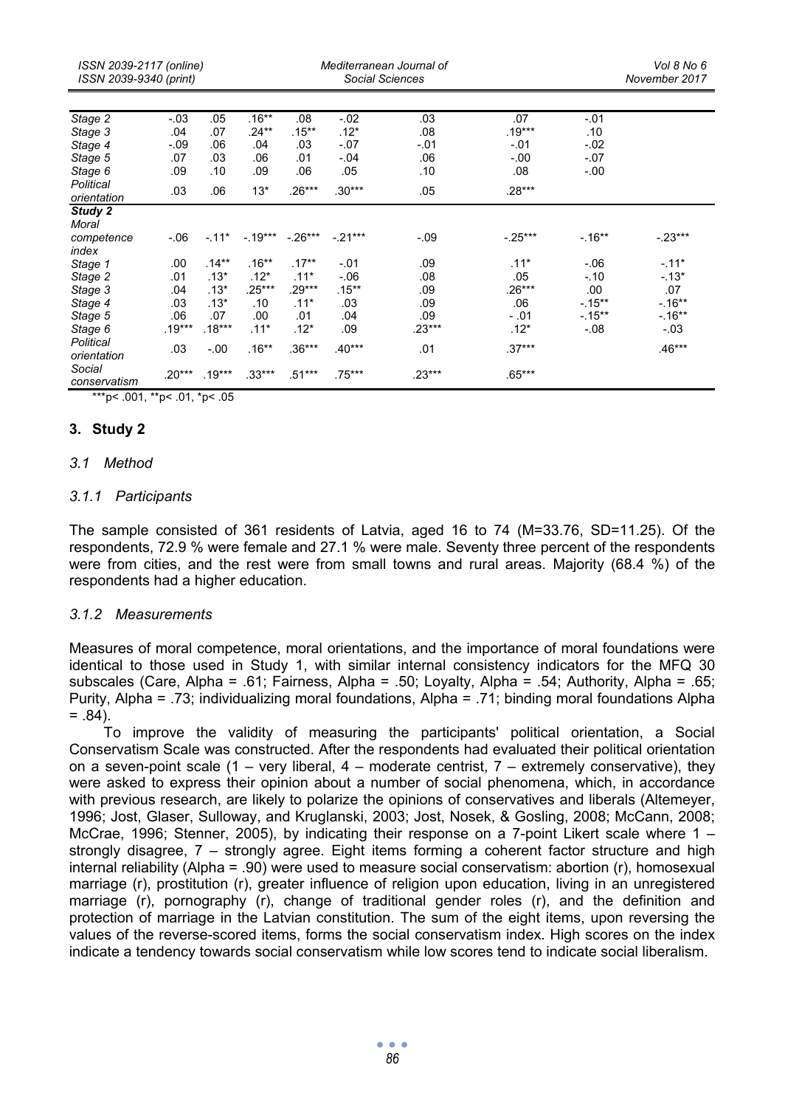| ISSN 2039-2117 (online)<br>ISSN 2039-9340 (print) |          |          | Mediterranean Journal of<br>Social Sciences |           |          |          |           |           | Vol 8 No 6<br>November 2017 |  |
|---------------------------------------------------|----------|----------|---------------------------------------------|-----------|----------|----------|-----------|-----------|-----------------------------|--|
| Stage 2                                           | $-.03$   | .05      | $.16***$                                    | .08       | $-.02$   | .03      | .07       | $-.01$    |                             |  |
| Stage 3                                           | .04      | .07      | $.24***$                                    | $.15***$  | $.12*$   | .08      | $.19***$  | .10       |                             |  |
| Stage 4                                           | $-.09$   | .06      | .04                                         | .03       | $-.07$   | $-.01$   | $-.01$    | $-.02$    |                             |  |
| Stage 5                                           | .07      | .03      | .06                                         | .01       | $-.04$   | .06      | $-0.00$   | $-.07$    |                             |  |
| Stage 6                                           | .09      | .10      | .09                                         | .06       | .05      | .10      | .08       | $-.00$    |                             |  |
| Political<br>orientation                          | .03      | .06      | $13*$                                       | $.26***$  | $.30***$ | .05      | $.28***$  |           |                             |  |
| Study 2<br>Moral                                  |          |          |                                             |           |          |          |           |           |                             |  |
| competence                                        | $-0.06$  | $-.11*$  | $-.19***$                                   | $-.26***$ | $-21***$ | $-.09$   | $-.25***$ | $-.16***$ | $-.23***$                   |  |
| index                                             |          |          |                                             |           |          |          |           |           |                             |  |
| Stage 1                                           | .00.     | $.14***$ | $.16**$                                     | $.17***$  | $-.01$   | .09      | $.11*$    | $-0.06$   | $-.11*$                     |  |
| Stage 2                                           | .01      | $.13*$   | $.12*$                                      | $.11*$    | $-0.06$  | .08      | .05       | $-.10$    | $-.13*$                     |  |
| Stage 3                                           | .04      | $.13*$   | $.25***$                                    | $.29***$  | $.15***$ | .09      | $.26***$  | .00       | .07                         |  |
| Stage 4                                           | .03      | $.13*$   | .10                                         | $.11*$    | .03      | .09      | .06       | $-15**$   | $-.16***$                   |  |
| Stage 5                                           | .06      | .07      | .00                                         | .01       | .04      | .09      | $-.01$    | $-15**$   | $-16**$                     |  |
| Stage 6                                           | $.19***$ | $.18***$ | $.11*$                                      | $.12*$    | .09      | $.23***$ | $.12*$    | $-.08$    | $-.03$                      |  |
| Political<br>orientation                          | .03      | $-0.00$  | $.16**$                                     | $.36***$  | $.40***$ | .01      | $.37***$  |           | $.46***$                    |  |
| Social<br>conservatism                            | $.20***$ | $.19***$ | $.33***$                                    | $.51***$  | .75***   | $.23***$ | $.65***$  |           |                             |  |

\*\*\*p< .001, \*\*p< .01, \*p< .05

# **3. Study 2**

### *3.1 Method*

### *3.1.1 Participants*

The sample consisted of 361 residents of Latvia, aged 16 to 74 (M=33.76, SD=11.25). Of the respondents, 72.9 % were female and 27.1 % were male. Seventy three percent of the respondents were from cities, and the rest were from small towns and rural areas. Majority (68.4 %) of the respondents had a higher education.

#### *3.1.2 Measurements*

Measures of moral competence, moral orientations, and the importance of moral foundations were identical to those used in Study 1, with similar internal consistency indicators for the MFQ 30 subscales (Care, Alpha = .61; Fairness, Alpha = .50; Loyalty, Alpha = .54; Authority, Alpha = .65; Purity, Alpha = .73; individualizing moral foundations, Alpha = .71; binding moral foundations Alpha  $= .84$ ).

To improve the validity of measuring the participants' political orientation, a Social Conservatism Scale was constructed. After the respondents had evaluated their political orientation on a seven-point scale  $(1 - \text{very liberal}, 4 - \text{moderate centrist}, 7 - \text{extremely conservative})$ , they were asked to express their opinion about a number of social phenomena, which, in accordance with previous research, are likely to polarize the opinions of conservatives and liberals (Altemeyer, 1996; Jost, Glaser, Sulloway, and Kruglanski, 2003; Jost, Nosek, & Gosling, 2008; McCann, 2008; McCrae, 1996; Stenner, 2005), by indicating their response on a 7-point Likert scale where 1 – strongly disagree, 7 – strongly agree. Eight items forming a coherent factor structure and high internal reliability (Alpha = .90) were used to measure social conservatism: abortion (r), homosexual marriage (r), prostitution (r), greater influence of religion upon education, living in an unregistered marriage (r), pornography (r), change of traditional gender roles (r), and the definition and protection of marriage in the Latvian constitution. The sum of the eight items, upon reversing the values of the reverse-scored items, forms the social conservatism index. High scores on the index indicate a tendency towards social conservatism while low scores tend to indicate social liberalism.

> $\bullet$   $\bullet$   $\bullet$ *86*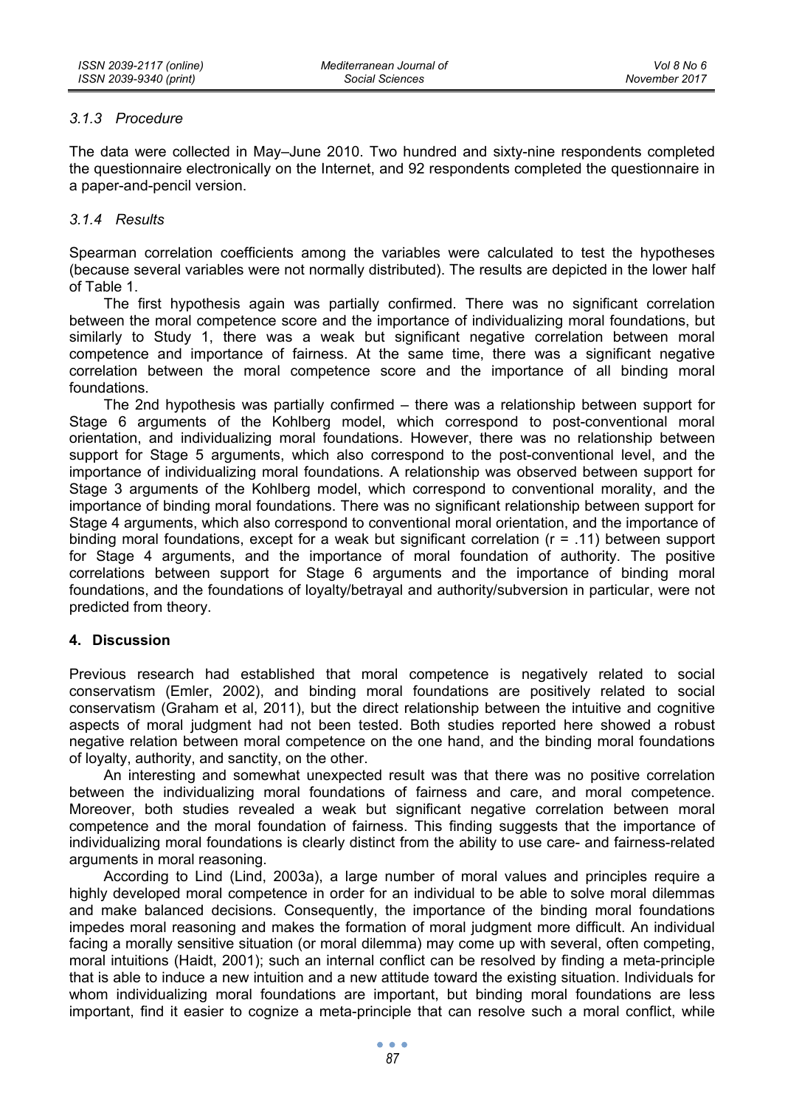# *3.1.3 Procedure*

The data were collected in May–June 2010. Two hundred and sixty-nine respondents completed the questionnaire electronically on the Internet, and 92 respondents completed the questionnaire in a paper-and-pencil version.

# *3.1.4 Results*

Spearman correlation coefficients among the variables were calculated to test the hypotheses (because several variables were not normally distributed). The results are depicted in the lower half of Table 1.

The first hypothesis again was partially confirmed. There was no significant correlation between the moral competence score and the importance of individualizing moral foundations, but similarly to Study 1, there was a weak but significant negative correlation between moral competence and importance of fairness. At the same time, there was a significant negative correlation between the moral competence score and the importance of all binding moral foundations.

The 2nd hypothesis was partially confirmed – there was a relationship between support for Stage 6 arguments of the Kohlberg model, which correspond to post-conventional moral orientation, and individualizing moral foundations. However, there was no relationship between support for Stage 5 arguments, which also correspond to the post-conventional level, and the importance of individualizing moral foundations. A relationship was observed between support for Stage 3 arguments of the Kohlberg model, which correspond to conventional morality, and the importance of binding moral foundations. There was no significant relationship between support for Stage 4 arguments, which also correspond to conventional moral orientation, and the importance of binding moral foundations, except for a weak but significant correlation (r = .11) between support for Stage 4 arguments, and the importance of moral foundation of authority. The positive correlations between support for Stage 6 arguments and the importance of binding moral foundations, and the foundations of loyalty/betrayal and authority/subversion in particular, were not predicted from theory.

# **4. Discussion**

Previous research had established that moral competence is negatively related to social conservatism (Emler, 2002), and binding moral foundations are positively related to social conservatism (Graham et al, 2011), but the direct relationship between the intuitive and cognitive aspects of moral judgment had not been tested. Both studies reported here showed a robust negative relation between moral competence on the one hand, and the binding moral foundations of loyalty, authority, and sanctity, on the other.

An interesting and somewhat unexpected result was that there was no positive correlation between the individualizing moral foundations of fairness and care, and moral competence. Moreover, both studies revealed a weak but significant negative correlation between moral competence and the moral foundation of fairness. This finding suggests that the importance of individualizing moral foundations is clearly distinct from the ability to use care- and fairness-related arguments in moral reasoning.

According to Lind (Lind, 2003a), a large number of moral values and principles require a highly developed moral competence in order for an individual to be able to solve moral dilemmas and make balanced decisions. Consequently, the importance of the binding moral foundations impedes moral reasoning and makes the formation of moral judgment more difficult. An individual facing a morally sensitive situation (or moral dilemma) may come up with several, often competing, moral intuitions (Haidt, 2001); such an internal conflict can be resolved by finding a meta-principle that is able to induce a new intuition and a new attitude toward the existing situation. Individuals for whom individualizing moral foundations are important, but binding moral foundations are less important, find it easier to cognize a meta-principle that can resolve such a moral conflict, while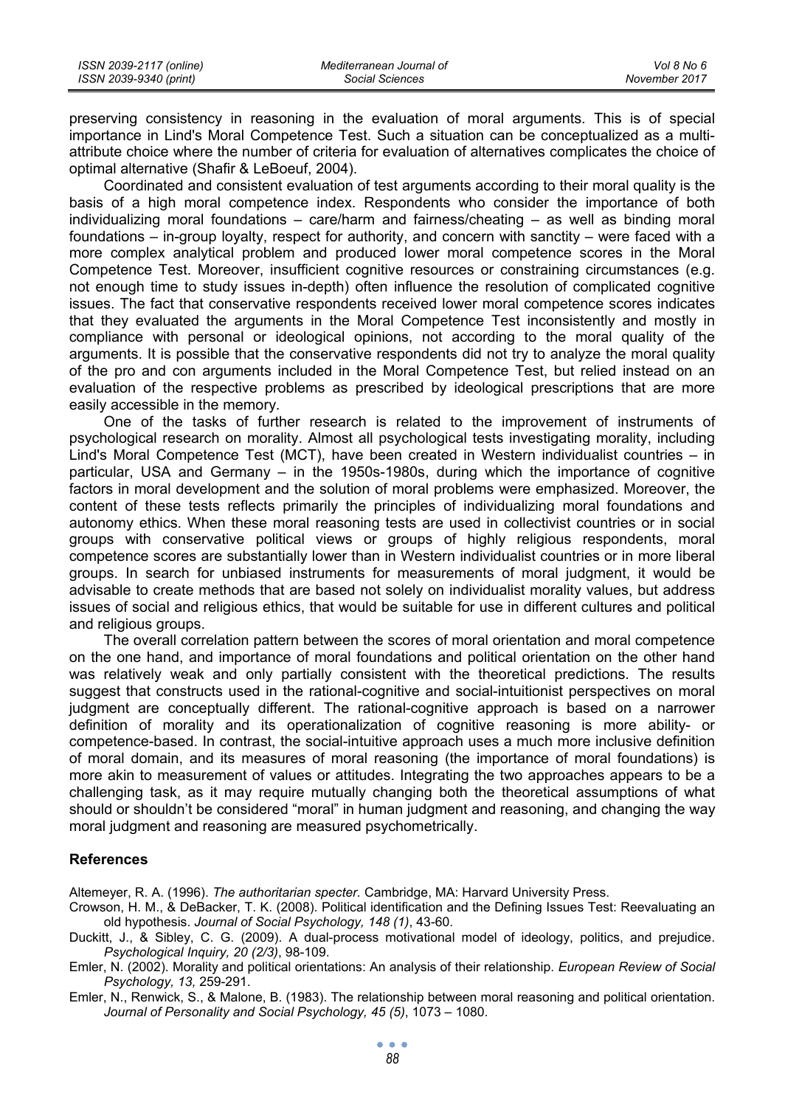| ISSN 2039-2117 (online) | Mediterranean Journal of | Vol 8 No 6    |
|-------------------------|--------------------------|---------------|
| ISSN 2039-9340 (print)  | Social Sciences          | November 2017 |

preserving consistency in reasoning in the evaluation of moral arguments. This is of special importance in Lind's Moral Competence Test. Such a situation can be conceptualized as a multiattribute choice where the number of criteria for evaluation of alternatives complicates the choice of optimal alternative (Shafir & LeBoeuf, 2004).

Coordinated and consistent evaluation of test arguments according to their moral quality is the basis of a high moral competence index. Respondents who consider the importance of both individualizing moral foundations – care/harm and fairness/cheating – as well as binding moral foundations – in-group loyalty, respect for authority, and concern with sanctity – were faced with a more complex analytical problem and produced lower moral competence scores in the Moral Competence Test. Moreover, insufficient cognitive resources or constraining circumstances (e.g. not enough time to study issues in-depth) often influence the resolution of complicated cognitive issues. The fact that conservative respondents received lower moral competence scores indicates that they evaluated the arguments in the Moral Competence Test inconsistently and mostly in compliance with personal or ideological opinions, not according to the moral quality of the arguments. It is possible that the conservative respondents did not try to analyze the moral quality of the pro and con arguments included in the Moral Competence Test, but relied instead on an evaluation of the respective problems as prescribed by ideological prescriptions that are more easily accessible in the memory.

One of the tasks of further research is related to the improvement of instruments of psychological research on morality. Almost all psychological tests investigating morality, including Lind's Moral Competence Test (MCT), have been created in Western individualist countries – in particular, USA and Germany – in the 1950s-1980s, during which the importance of cognitive factors in moral development and the solution of moral problems were emphasized. Moreover, the content of these tests reflects primarily the principles of individualizing moral foundations and autonomy ethics. When these moral reasoning tests are used in collectivist countries or in social groups with conservative political views or groups of highly religious respondents, moral competence scores are substantially lower than in Western individualist countries or in more liberal groups. In search for unbiased instruments for measurements of moral judgment, it would be advisable to create methods that are based not solely on individualist morality values, but address issues of social and religious ethics, that would be suitable for use in different cultures and political and religious groups.

The overall correlation pattern between the scores of moral orientation and moral competence on the one hand, and importance of moral foundations and political orientation on the other hand was relatively weak and only partially consistent with the theoretical predictions. The results suggest that constructs used in the rational-cognitive and social-intuitionist perspectives on moral judgment are conceptually different. The rational-cognitive approach is based on a narrower definition of morality and its operationalization of cognitive reasoning is more ability- or competence-based. In contrast, the social-intuitive approach uses a much more inclusive definition of moral domain, and its measures of moral reasoning (the importance of moral foundations) is more akin to measurement of values or attitudes. Integrating the two approaches appears to be a challenging task, as it may require mutually changing both the theoretical assumptions of what should or shouldn't be considered "moral" in human judgment and reasoning, and changing the way moral judgment and reasoning are measured psychometrically.

#### **References**

Altemeyer, R. A. (1996). *The authoritarian specter.* Cambridge, MA: Harvard University Press.

- Crowson, H. M., & DeBacker, T. K. (2008). Political identification and the Defining Issues Test: Reevaluating an old hypothesis. *Journal of Social Psychology, 148 (1)*, 43-60.
- Duckitt, J., & Sibley, C. G. (2009). A dual-process motivational model of ideology, politics, and prejudice. *Psychological Inquiry, 20 (2/3)*, 98-109.
- Emler, N. (2002). Morality and political orientations: An analysis of their relationship. *European Review of Social Psychology, 13,* 259-291.
- Emler, N., Renwick, S., & Malone, B. (1983). The relationship between moral reasoning and political orientation. *Journal of Personality and Social Psychology, 45 (5)*, 1073 – 1080.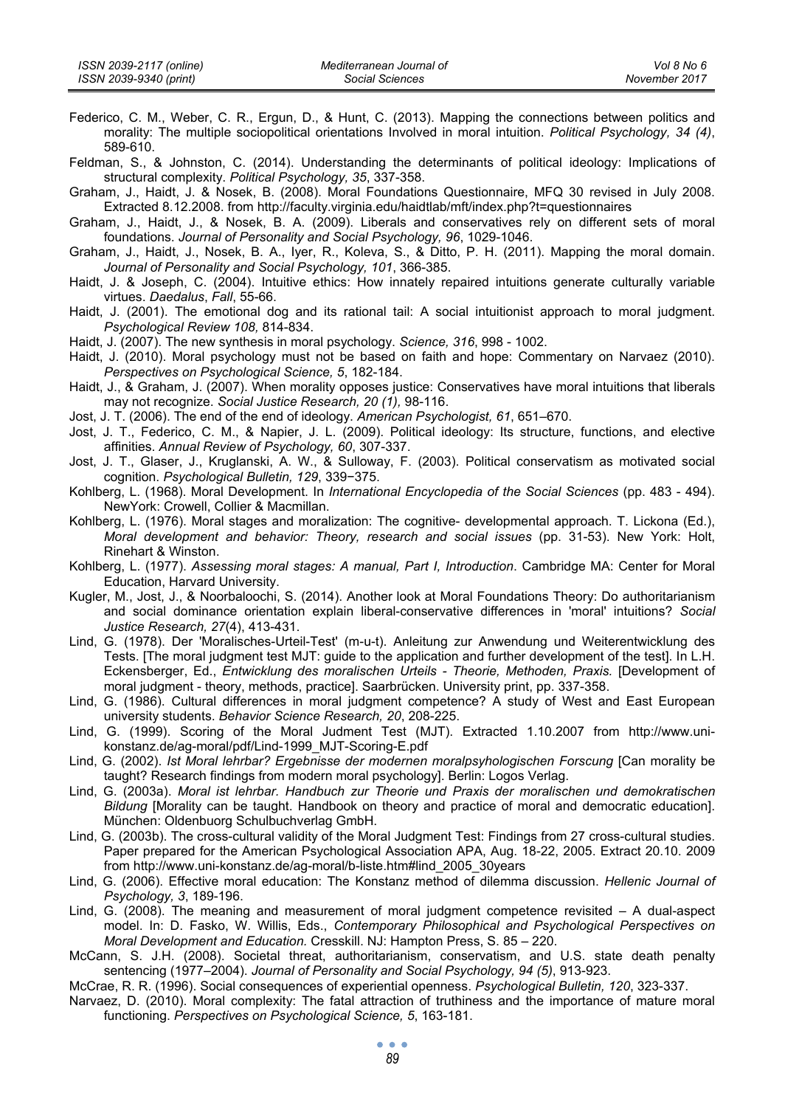- Federico, C. M., Weber, C. R., Ergun, D., & Hunt, C. (2013). Mapping the connections between politics and morality: The multiple sociopolitical orientations Involved in moral intuition. *Political Psychology, 34 (4)*, 589-610.
- Feldman, S., & Johnston, C. (2014). Understanding the determinants of political ideology: Implications of structural complexity. *Political Psychology, 35*, 337-358.
- Graham, J., Haidt, J. & Nosek, B. (2008). Moral Foundations Questionnaire, MFQ 30 revised in July 2008. Extracted 8.12.2008. from http://faculty.virginia.edu/haidtlab/mft/index.php?t=questionnaires
- Graham, J., Haidt, J., & Nosek, B. A. (2009). Liberals and conservatives rely on different sets of moral foundations. *Journal of Personality and Social Psychology, 96*, 1029-1046.
- Graham, J., Haidt, J., Nosek, B. A., Iyer, R., Koleva, S., & Ditto, P. H. (2011). Mapping the moral domain. *Journal of Personality and Social Psychology, 101*, 366-385.
- Haidt, J. & Joseph, C. (2004). Intuitive ethics: How innately repaired intuitions generate culturally variable virtues. *Daedalus*, *Fall*, 55-66.
- Haidt, J. (2001). The emotional dog and its rational tail: A social intuitionist approach to moral judgment. *Psychological Review 108,* 814-834.
- Haidt, J. (2007). The new synthesis in moral psychology. *Science, 316*, 998 1002.
- Haidt, J. (2010). Moral psychology must not be based on faith and hope: Commentary on Narvaez (2010). *Perspectives on Psychological Science, 5*, 182-184.
- Haidt, J., & Graham, J. (2007). When morality opposes justice: Conservatives have moral intuitions that liberals may not recognize. *Social Justice Research, 20 (1),* 98-116.
- Jost, J. T. (2006). The end of the end of ideology. *American Psychologist, 61*, 651–670.
- Jost, J. T., Federico, C. M., & Napier, J. L. (2009). Political ideology: Its structure, functions, and elective affinities. *Annual Review of Psychology, 60*, 307-337.
- Jost, J. T., Glaser, J., Kruglanski, A. W., & Sulloway, F. (2003). Political conservatism as motivated social cognition. *Psychological Bulletin, 129*, 339−375.
- Kohlberg, L. (1968). Moral Development. In *International Encyclopedia of the Social Sciences* (pp. 483 494). NewYork: Crowell, Collier & Macmillan.
- Kohlberg, L. (1976). Moral stages and moralization: The cognitive- developmental approach. T. Lickona (Ed.), *Moral development and behavior: Theory, research and social issues* (pp. 31-53). New York: Holt, Rinehart & Winston.
- Kohlberg, L. (1977). *Assessing moral stages: A manual, Part I, Introduction*. Cambridge MA: Center for Moral Education, Harvard University.
- Kugler, M., Jost, J., & Noorbaloochi, S. (2014). Another look at Moral Foundations Theory: Do authoritarianism and social dominance orientation explain liberal-conservative differences in 'moral' intuitions? *Social Justice Research, 27*(4), 413-431.
- Lind, G. (1978). Der 'Moralisches-Urteil-Test' (m-u-t). Anleitung zur Anwendung und Weiterentwicklung des Tests. [The moral judgment test MJT: guide to the application and further development of the test]. In L.H. Eckensberger, Ed., *Entwicklung des moralischen Urteils - Theorie, Methoden, Praxis.* [Development of moral judgment - theory, methods, practice]. Saarbrücken. University print, pp. 337-358.
- Lind, G. (1986). Cultural differences in moral judgment competence? A study of West and East European university students. *Behavior Science Research, 20*, 208-225.
- Lind, G. (1999). Scoring of the Moral Judment Test (MJT). Extracted 1.10.2007 from http://www.unikonstanz.de/ag-moral/pdf/Lind-1999\_MJT-Scoring-E.pdf
- Lind, G. (2002). *Ist Moral lehrbar? Ergebnisse der modernen moralpsyhologischen Forscung* [Can morality be taught? Research findings from modern moral psychology]. Berlin: Logos Verlag.
- Lind, G. (2003a). *Moral ist lehrbar. Handbuch zur Theorie und Praxis der moralischen und demokratischen Bildung* [Morality can be taught. Handbook on theory and practice of moral and democratic education]. München: Oldenbuorg Schulbuchverlag GmbH.
- Lind, G. (2003b). The cross-cultural validity of the Moral Judgment Test: Findings from 27 cross-cultural studies. Paper prepared for the American Psychological Association APA, Aug. 18-22, 2005. Extract 20.10. 2009 from http://www.uni-konstanz.de/ag-moral/b-liste.htm#lind\_2005\_30years
- Lind, G. (2006). Effective moral education: The Konstanz method of dilemma discussion. *Hellenic Journal of Psychology, 3*, 189-196.
- Lind, G. (2008). The meaning and measurement of moral judgment competence revisited A dual-aspect model. In: D. Fasko, W. Willis, Eds., *Contemporary Philosophical and Psychological Perspectives on Moral Development and Education.* Cresskill. NJ: Hampton Press, S. 85 – 220.
- McCann, S. J.H. (2008). Societal threat, authoritarianism, conservatism, and U.S. state death penalty sentencing (1977–2004). *Journal of Personality and Social Psychology, 94 (5)*, 913-923.
- McCrae, R. R. (1996). Social consequences of experiential openness. *Psychological Bulletin, 120*, 323-337.
- Narvaez, D. (2010). Moral complexity: The fatal attraction of truthiness and the importance of mature moral functioning. *Perspectives on Psychological Science, 5*, 163-181.